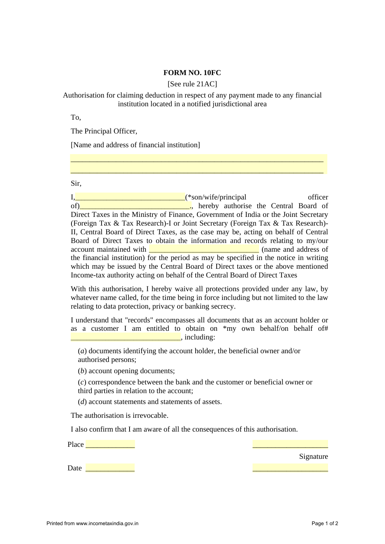## **FORM NO. 10FC**

[See rule 21AC]

## Authorisation for claiming deduction in respect of any payment made to any financial institution located in a notified jurisdictional area

\_\_\_\_\_\_\_\_\_\_\_\_\_\_\_\_\_\_\_\_\_\_\_\_\_\_\_\_\_\_\_\_\_\_\_\_\_\_\_\_\_\_\_\_\_\_\_\_\_\_\_\_\_\_\_\_\_\_\_\_\_\_\_\_\_\_\_ \_\_\_\_\_\_\_\_\_\_\_\_\_\_\_\_\_\_\_\_\_\_\_\_\_\_\_\_\_\_\_\_\_\_\_\_\_\_\_\_\_\_\_\_\_\_\_\_\_\_\_\_\_\_\_\_\_\_\_\_\_\_\_\_\_\_\_

To,

The Principal Officer,

[Name and address of financial institution]

Sir,

I,\_\_\_\_\_\_\_\_\_\_\_\_\_\_\_\_\_\_\_\_\_\_\_\_\_\_\_\_\_\_\_\_\_\_\_(\*son/wife/principal officer of)\_\_\_\_\_\_\_\_\_\_\_\_\_\_\_\_\_\_\_\_\_\_\_\_\_\_\_\_\_\_\_\_\_\_\_., hereby authorise the Central Board of Direct Taxes in the Ministry of Finance, Government of India or the Joint Secretary (Foreign Tax & Tax Research)-I or Joint Secretary (Foreign Tax & Tax Research)- II, Central Board of Direct Taxes, as the case may be, acting on behalf of Central Board of Direct Taxes to obtain the information and records relating to my/our account maintained with **with EXECUTE:** (name and address of the financial institution) for the period as may be specified in the notice in writing which may be issued by the Central Board of Direct taxes or the above mentioned Income-tax authority acting on behalf of the Central Board of Direct Taxes

With this authorisation, I hereby waive all protections provided under any law, by whatever name called, for the time being in force including but not limited to the law relating to data protection, privacy or banking secrecy.

I understand that "records" encompasses all documents that as an account holder or as a customer I am entitled to obtain on \*my own behalf/on behalf of#  $\Box$  including:

(*a*) documents identifying the account holder, the beneficial owner and/or authorised persons;

(*b*) account opening documents;

(*c*) correspondence between the bank and the customer or beneficial owner or third parties in relation to the account;

(*d*) account statements and statements of assets.

The authorisation is irrevocable.

I also confirm that I am aware of all the consequences of this authorisation.

Place **a** 

**Signature** Signature Signature

 $\text{Date}$   $\blacksquare$